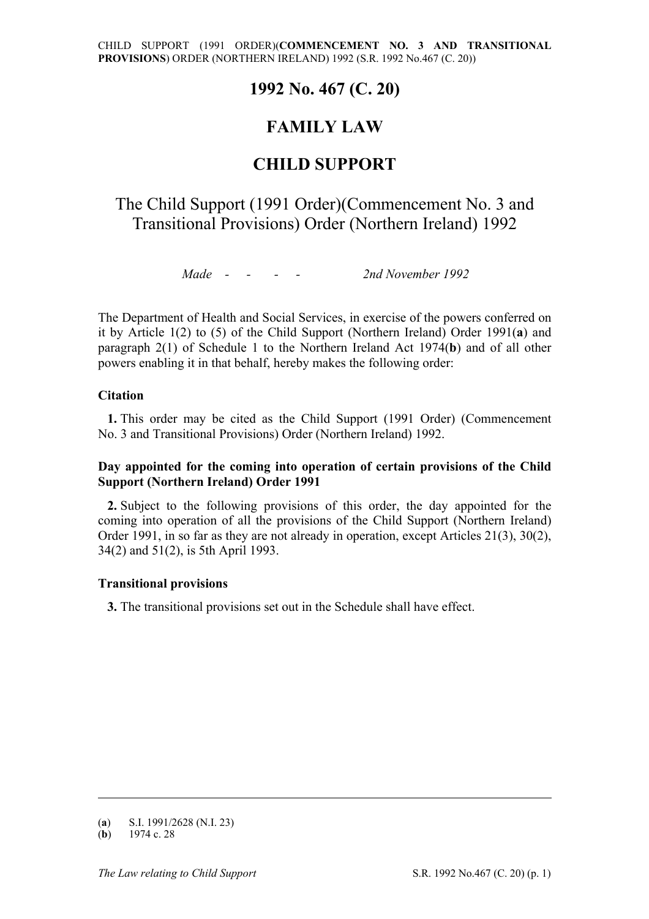## **1992 No. 467 (C. 20)**

# **FAMILY LAW**

## **CHILD SUPPORT**

# The Child Support (1991 Order)(Commencement No. 3 and Transitional Provisions) Order (Northern Ireland) 1992

*Made - - - - 2nd November 1992* 

The Department of Health and Social Services, in exercise of the powers conferred on it by Article 1(2) to (5) of the Child Support (Northern Ireland) Order 1991(**a**) and paragraph 2(1) of Schedule 1 to the Northern Ireland Act 1974(**b**) and of all other powers enabling it in that behalf, hereby makes the following order:

## **Citation**

**1.** This order may be cited as the Child Support (1991 Order) (Commencement No. 3 and Transitional Provisions) Order (Northern Ireland) 1992.

## **Day appointed for the coming into operation of certain provisions of the Child Support (Northern Ireland) Order 1991**

**2.** Subject to the following provisions of this order, the day appointed for the coming into operation of all the provisions of the Child Support (Northern Ireland) Order 1991, in so far as they are not already in operation, except Articles 21(3), 30(2), 34(2) and 51(2), is 5th April 1993.

## **Transitional provisions**

**3.** The transitional provisions set out in the Schedule shall have effect.

-

<sup>(</sup>**a**) S.I. 1991/2628 (N.I. 23)

 $(b)$  1974 c. 28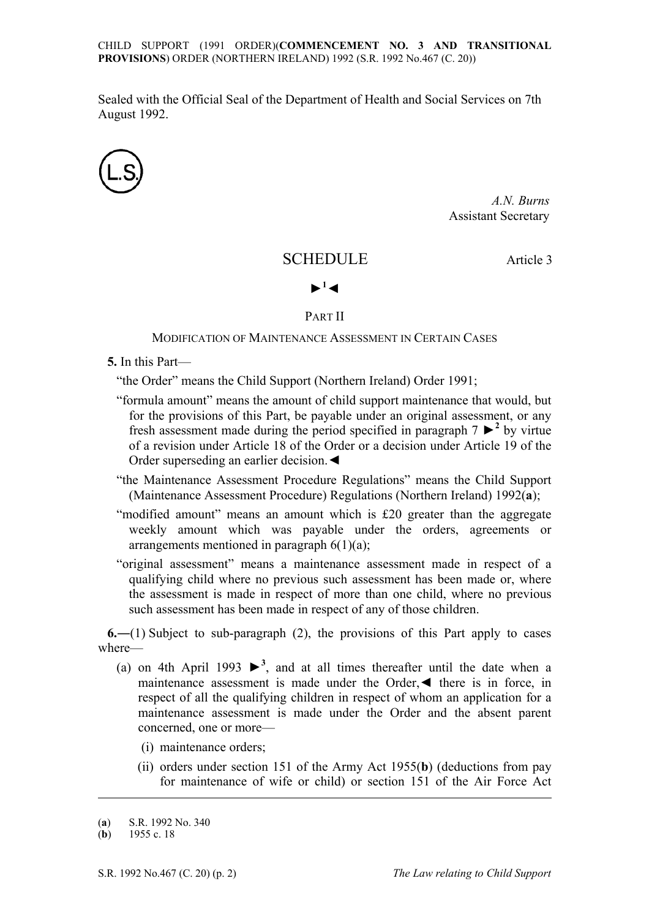CHILD SUPPORT (1991 ORDER)(**COMMENCEMENT NO. 3 AND TRANSITIONAL PROVISIONS**) ORDER (NORTHERN IRELAND) 1992 (S.R. 1992 No.467 (C. 20))

Sealed with the Official Seal of the Department of Health and Social Services on 7th August 1992.



*A.N. Burns* Assistant Secretary

## SCHEDULE Article 3



#### PART II

### MODIFICATION OF MAINTENANCE ASSESSMENT IN CERTAIN CASES

**5.** In this Part—

"the Order" means the Child Support (Northern Ireland) Order 1991;

- "formula amount" means the amount of child support maintenance that would, but for the provisions of this Part, be payable under an original assessment, or any fresh assessment made during the period specified in paragraph  $7 \geq 2$  by virtue of a revision under Article 18 of the Order or a decision under Article 19 of the Order superseding an earlier decision.◄
- "the Maintenance Assessment Procedure Regulations" means the Child Support (Maintenance Assessment Procedure) Regulations (Northern Ireland) 1992(**a**);
- "modified amount" means an amount which is £20 greater than the aggregate weekly amount which was payable under the orders, agreements or arrangements mentioned in paragraph  $6(1)(a)$ ;
- "original assessment" means a maintenance assessment made in respect of a qualifying child where no previous such assessment has been made or, where the assessment is made in respect of more than one child, where no previous such assessment has been made in respect of any of those children.

**6.**―(1) Subject to sub-paragraph (2), the provisions of this Part apply to cases where—

- (a) on 4th April 1993  $\blacktriangleright^3$ , and at all times thereafter until the date when a maintenance assessment is made under the Order,◄ there is in force, in respect of all the qualifying children in respect of whom an application for a maintenance assessment is made under the Order and the absent parent concerned, one or more—
	- (i) maintenance orders;
	- (ii) orders under section 151 of the Army Act 1955(**b**) (deductions from pay for maintenance of wife or child) or section 151 of the Air Force Act

-

<sup>(</sup>**a**) S.R. 1992 No. 340

<sup>(</sup>**b**) 1955 c. 18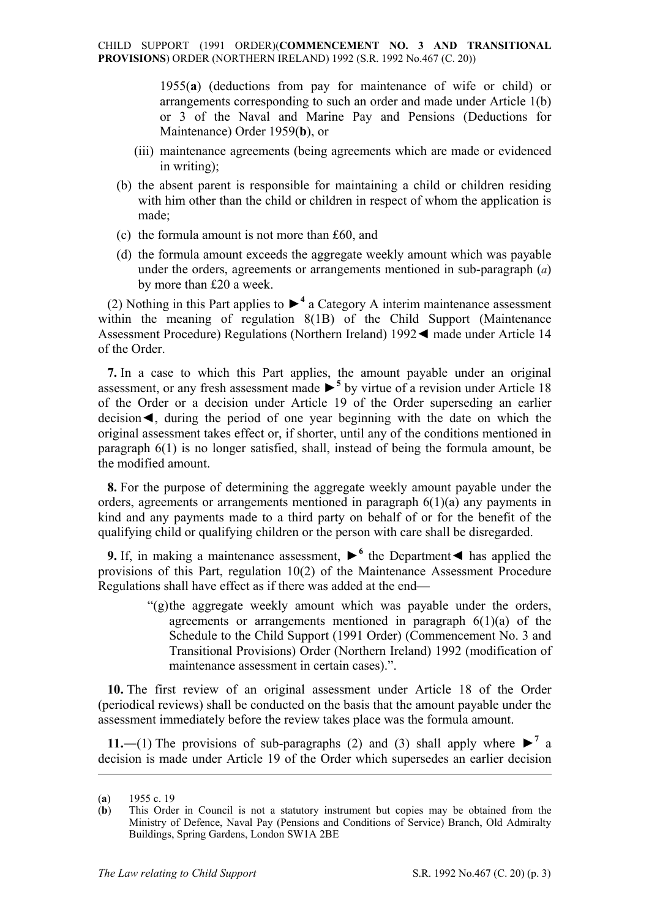1955(**a**) (deductions from pay for maintenance of wife or child) or arrangements corresponding to such an order and made under Article 1(b) or 3 of the Naval and Marine Pay and Pensions (Deductions for Maintenance) Order 1959(**b**), or

- (iii) maintenance agreements (being agreements which are made or evidenced in writing);
- (b) the absent parent is responsible for maintaining a child or children residing with him other than the child or children in respect of whom the application is made;
- (c) the formula amount is not more than £60, and
- (d) the formula amount exceeds the aggregate weekly amount which was payable under the orders, agreements or arrangements mentioned in sub-paragraph (*a*) by more than £20 a week.

(2) Nothing in this Part applies to  $\blacktriangleright^4$  a Category A interim maintenance assessment within the meaning of regulation 8(1B) of the Child Support (Maintenance Assessment Procedure) Regulations (Northern Ireland) 1992◄ made under Article 14 of the Order.

**7.** In a case to which this Part applies, the amount payable under an original assessment, or any fresh assessment made  $\blacktriangleright$ <sup>5</sup> by virtue of a revision under Article 18 of the Order or a decision under Article 19 of the Order superseding an earlier decision◄, during the period of one year beginning with the date on which the original assessment takes effect or, if shorter, until any of the conditions mentioned in paragraph 6(1) is no longer satisfied, shall, instead of being the formula amount, be the modified amount.

**8.** For the purpose of determining the aggregate weekly amount payable under the orders, agreements or arrangements mentioned in paragraph 6(1)(a) any payments in kind and any payments made to a third party on behalf of or for the benefit of the qualifying child or qualifying children or the person with care shall be disregarded.

**9.** If, in making a maintenance assessment,  $\blacktriangleright$ <sup>6</sup> the Department  $\blacktriangleleft$  has applied the provisions of this Part, regulation 10(2) of the Maintenance Assessment Procedure Regulations shall have effect as if there was added at the end—

> "(g) the aggregate weekly amount which was payable under the orders, agreements or arrangements mentioned in paragraph  $6(1)(a)$  of the Schedule to the Child Support (1991 Order) (Commencement No. 3 and Transitional Provisions) Order (Northern Ireland) 1992 (modification of maintenance assessment in certain cases).".

**10.** The first review of an original assessment under Article 18 of the Order (periodical reviews) shall be conducted on the basis that the amount payable under the assessment immediately before the review takes place was the formula amount.

**11.**—(1) The provisions of sub-paragraphs (2) and (3) shall apply where  $\blacktriangleright^7$  a decision is made under Article 19 of the Order which supersedes an earlier decision

<u>.</u>

<sup>(</sup>**a**) 1955 c. 19

<sup>(</sup>**b**) This Order in Council is not a statutory instrument but copies may be obtained from the Ministry of Defence, Naval Pay (Pensions and Conditions of Service) Branch, Old Admiralty Buildings, Spring Gardens, London SW1A 2BE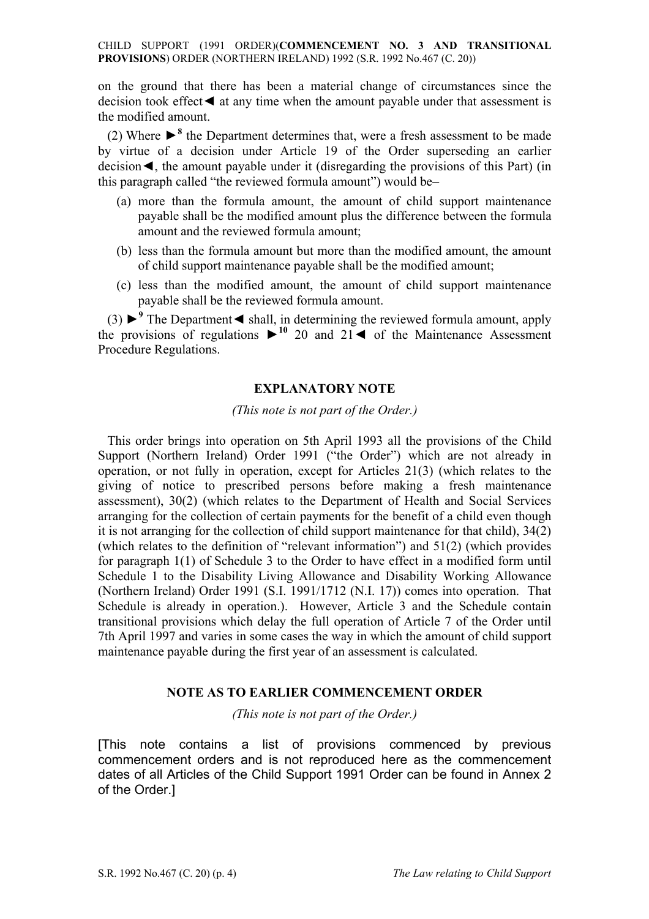CHILD SUPPORT (1991 ORDER)(**COMMENCEMENT NO. 3 AND TRANSITIONAL PROVISIONS**) ORDER (NORTHERN IRELAND) 1992 (S.R. 1992 No.467 (C. 20))

on the ground that there has been a material change of circumstances since the decision took effect◄ at any time when the amount payable under that assessment is the modified amount.

(2) Where  $\blacktriangleright^8$  the Department determines that, were a fresh assessment to be made by virtue of a decision under Article 19 of the Order superseding an earlier decision◄, the amount payable under it (disregarding the provisions of this Part) (in this paragraph called "the reviewed formula amount") would be—

- (a) more than the formula amount, the amount of child support maintenance payable shall be the modified amount plus the difference between the formula amount and the reviewed formula amount;
- (b) less than the formula amount but more than the modified amount, the amount of child support maintenance payable shall be the modified amount;
- (c) less than the modified amount, the amount of child support maintenance payable shall be the reviewed formula amount.

(3) ►<sup>9</sup> The Department < shall, in determining the reviewed formula amount, apply the provisions of regulations  $\triangleright$ <sup>10</sup> 20 and 21  $\blacktriangleleft$  of the Maintenance Assessment Procedure Regulations.

#### **EXPLANATORY NOTE**

*(This note is not part of the Order.)* 

This order brings into operation on 5th April 1993 all the provisions of the Child Support (Northern Ireland) Order 1991 ("the Order") which are not already in operation, or not fully in operation, except for Articles 21(3) (which relates to the giving of notice to prescribed persons before making a fresh maintenance assessment), 30(2) (which relates to the Department of Health and Social Services arranging for the collection of certain payments for the benefit of a child even though it is not arranging for the collection of child support maintenance for that child), 34(2) (which relates to the definition of "relevant information") and 51(2) (which provides for paragraph 1(1) of Schedule 3 to the Order to have effect in a modified form until Schedule 1 to the Disability Living Allowance and Disability Working Allowance (Northern Ireland) Order 1991 (S.I. 1991/1712 (N.I. 17)) comes into operation. That Schedule is already in operation.). However, Article 3 and the Schedule contain transitional provisions which delay the full operation of Article 7 of the Order until 7th April 1997 and varies in some cases the way in which the amount of child support maintenance payable during the first year of an assessment is calculated.

#### **NOTE AS TO EARLIER COMMENCEMENT ORDER**

*(This note is not part of the Order.)* 

[This note contains a list of provisions commenced by previous commencement orders and is not reproduced here as the commencement dates of all Articles of the Child Support 1991 Order can be found in Annex 2 of the Order.]